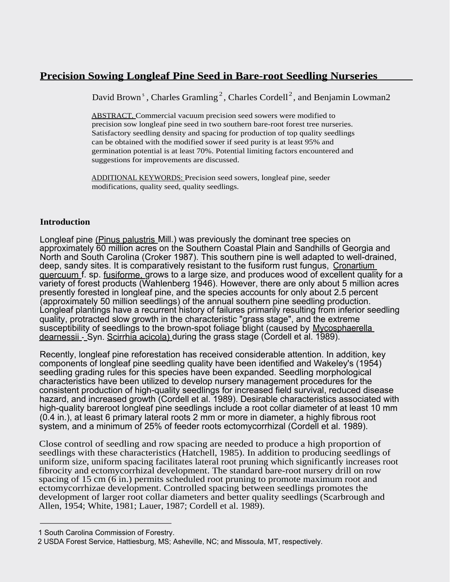# **Precision Sowing Longleaf Pine Seed in Bare-root Seedling Nurseries**

David Brown<sup>s</sup>, Charles Gramling<sup>2</sup>, Charles Cordell<sup>2</sup>, and Benjamin Lowman2

ABSTRACT. Commercial vacuum precision seed sowers were modified to precision sow longleaf pine seed in two southern bare-root forest tree nurseries. Satisfactory seedling density and spacing for production of top quality seedlings can be obtained with the modified sower if seed purity is at least 95% and germination potential is at least 70%. Potential limiting factors encountered and suggestions for improvements are discussed.

ADDITIONAL KEYWORDS: Precision seed sowers, longleaf pine, seeder modifications, quality seed, quality seedlings.

## **Introduction**

Longleaf pine (Pinus palustris Mill.) was previously the dominant tree species on approximately 60 million acres on the Southern Coastal Plain and Sandhills of Georgia and North and South Carolina (Croker 1987). This southern pine is well adapted to well-drained, deep, sandy sites. It is comparatively resistant to the fusiform rust fungus, Cronartium quercuum f. sp. fusiforme, grows to a large size, and produces wood of excellent quality for a variety of forest products (Wahlenberg 1946). However, there are only about 5 million acres presently forested in longleaf pine, and the species accounts for only about 2.5 percent (approximately 50 million seedlings) of the annual southern pine seedling production. Longleaf plantings have a recurrent history of failures primarily resulting from inferior seedling quality, protracted slow growth in the characteristic "grass stage", and the extreme susceptibility of seedlings to the brown-spot foliage blight (caused by Mycosphaerella dearnessii - Syn. Scirrhia acicola) during the grass stage (Cordell et al. 1989).

Recently, longleaf pine reforestation has received considerable attention. In addition, key components of longleaf pine seedling quality have been identified and Wakeley's (1954) seedling grading rules for this species have been expanded. Seedling morphological characteristics have been utilized to develop nursery management procedures for the consistent production of high-quality seedlings for increased field survival, reduced disease hazard, and increased growth (Cordell et al. 1989). Desirable characteristics associated with high-quality bareroot longleaf pine seedlings include a root collar diameter of at least 10 mm (0.4 in.), at least 6 primary lateral roots 2 mm or more in diameter, a highly fibrous root system, and a minimum of 25% of feeder roots ectomycorrhizal (Cordell et al. 1989).

Close control of seedling and row spacing are needed to produce a high proportion of seedlings with these characteristics (Hatchell, 1985). In addition to producing seedlings of uniform size, uniform spacing facilitates lateral root pruning which significantly increases root fibrocity and ectomycorrhizal development. The standard bare-root nursery drill on row spacing of 15 cm (6 in.) permits scheduled root pruning to promote maximum root and ectomycorrhizae development. Controlled spacing between seedlings promotes the development of larger root collar diameters and better quality seedlings (Scarbrough and Allen, 1954; White, 1981; Lauer, 1987; Cordell et al. 1989).

<sup>1</sup> South Carolina Commission of Forestry.

<sup>2</sup> USDA Forest Service, Hattiesburg, MS; Asheville, NC; and Missoula, MT, respectively.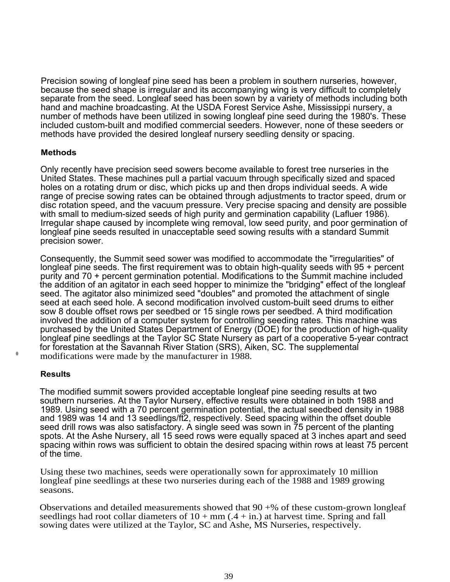Precision sowing of longleaf pine seed has been a problem in southern nurseries, however, because the seed shape is irregular and its accompanying wing is very difficult to completely separate from the seed. Longleaf seed has been sown by a variety of methods including both hand and machine broadcasting. At the USDA Forest Service Ashe, Mississippi nursery, a number of methods have been utilized in sowing longleaf pine seed during the 1980's. These included custom-built and modified commercial seeders. However, none of these seeders or methods have provided the desired longleaf nursery seedling density or spacing.

### **Methods**

Only recently have precision seed sowers become available to forest tree nurseries in the United States. These machines pull a partial vacuum through specifically sized and spaced holes on a rotating drum or disc, which picks up and then drops individual seeds. A wide range of precise sowing rates can be obtained through adjustments to tractor speed, drum or disc rotation speed, and the vacuum pressure. Very precise spacing and density are possible with small to medium-sized seeds of high purity and germination capability (Lafluer 1986). Irregular shape caused by incomplete wing removal, low seed purity, and poor germination of longleaf pine seeds resulted in unacceptable seed sowing results with a standard Summit precision sower.

Consequently, the Summit seed sower was modified to accommodate the "irregularities" of longleaf pine seeds. The first requirement was to obtain high-quality seeds with 95 + percent purity and 70 + percent germination potential. Modifications to the Summit machine included the addition of an agitator in each seed hopper to minimize the "bridging" effect of the longleaf seed. The agitator also minimized seed "doubles" and promoted the attachment of single seed at each seed hole. A second modification involved custom-built seed drums to either sow 8 double offset rows per seedbed or 15 single rows per seedbed. A third modification involved the addition of a computer system for controlling seeding rates. This machine was purchased by the United States Department of Energy (DOE) for the production of high-quality longleaf pine seedlings at the Taylor SC State Nursery as part of a cooperative 5-year contract for forestation at the Savannah River Station (SRS), Aiken, SC. The supplemental modifications were made by the manufacturer in 1988.

#### **Results**

The modified summit sowers provided acceptable longleaf pine seeding results at two southern nurseries. At the Taylor Nursery, effective results were obtained in both 1988 and 1989. Using seed with a 70 percent germination potential, the actual seedbed density in 1988 and 1989 was 14 and 13 seedlings/ft2, respectively. Seed spacing within the offset double seed drill rows was also satisfactory. A single seed was sown in 75 percent of the planting spots. At the Ashe Nursery, all 15 seed rows were equally spaced at 3 inches apart and seed spacing within rows was sufficient to obtain the desired spacing within rows at least 75 percent of the time.

Using these two machines, seeds were operationally sown for approximately 10 million longleaf pine seedlings at these two nurseries during each of the 1988 and 1989 growing seasons.

Observations and detailed measurements showed that  $90 + %$  of these custom-grown longleaf seedlings had root collar diameters of  $10 + \text{mm}$  (.4 + in.) at harvest time. Spring and fall sowing dates were utilized at the Taylor, SC and Ashe, MS Nurseries, respectively.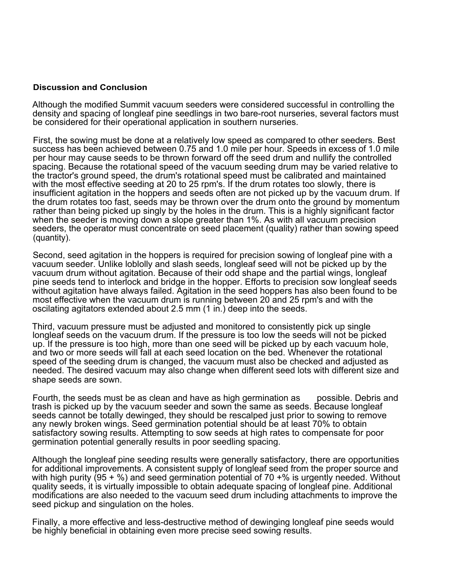#### **Discussion and Conclusion**

Although the modified Summit vacuum seeders were considered successful in controlling the density and spacing of longleaf pine seedlings in two bare-root nurseries, several factors must be considered for their operational application in southern nurseries.

First, the sowing must be done at a relatively low speed as compared to other seeders. Best success has been achieved between 0.75 and 1.0 mile per hour. Speeds in excess of 1.0 mile per hour may cause seeds to be thrown forward off the seed drum and nullify the controlled spacing. Because the rotational speed of the vacuum seeding drum may be varied relative to the tractor's ground speed, the drum's rotational speed must be calibrated and maintained with the most effective seeding at 20 to 25 rpm's. If the drum rotates too slowly, there is insufficient agitation in the hoppers and seeds often are not picked up by the vacuum drum. If the drum rotates too fast, seeds may be thrown over the drum onto the ground by momentum rather than being picked up singly by the holes in the drum. This is a highly significant factor when the seeder is moving down a slope greater than 1%. As with all vacuum precision seeders, the operator must concentrate on seed placement (quality) rather than sowing speed (quantity).

Second, seed agitation in the hoppers is required for precision sowing of longleaf pine with a vacuum seeder. Unlike loblolly and slash seeds, longleaf seed will not be picked up by the vacuum drum without agitation. Because of their odd shape and the partial wings, longleaf pine seeds tend to interlock and bridge in the hopper. Efforts to precision sow longleaf seeds without agitation have always failed. Agitation in the seed hoppers has also been found to be most effective when the vacuum drum is running between 20 and 25 rpm's and with the oscilating agitators extended about 2.5 mm (1 in.) deep into the seeds.

Third, vacuum pressure must be adjusted and monitored to consistently pick up single longleaf seeds on the vacuum drum. If the pressure is too low the seeds will not be picked up. If the pressure is too high, more than one seed will be picked up by each vacuum hole, and two or more seeds will fall at each seed location on the bed. Whenever the rotational speed of the seeding drum is changed, the vacuum must also be checked and adjusted as needed. The desired vacuum may also change when different seed lots with different size and shape seeds are sown.

Fourth, the seeds must be as clean and have as high germination as possible. Debris and trash is picked up by the vacuum seeder and sown the same as seeds. Because longleaf seeds cannot be totally dewinged, they should be rescalped just prior to sowing to remove any newly broken wings. Seed germination potential should be at least 70% to obtain satisfactory sowing results. Attempting to sow seeds at high rates to compensate for poor germination potential generally results in poor seedling spacing.

Although the longleaf pine seeding results were generally satisfactory, there are opportunities for additional improvements. A consistent supply of longleaf seed from the proper source and with high purity (95 + %) and seed germination potential of 70 +% is urgently needed. Without quality seeds, it is virtually impossible to obtain adequate spacing of longleaf pine. Additional modifications are also needed to the vacuum seed drum including attachments to improve the seed pickup and singulation on the holes.

Finally, a more effective and less-destructive method of dewinging longleaf pine seeds would be highly beneficial in obtaining even more precise seed sowing results.